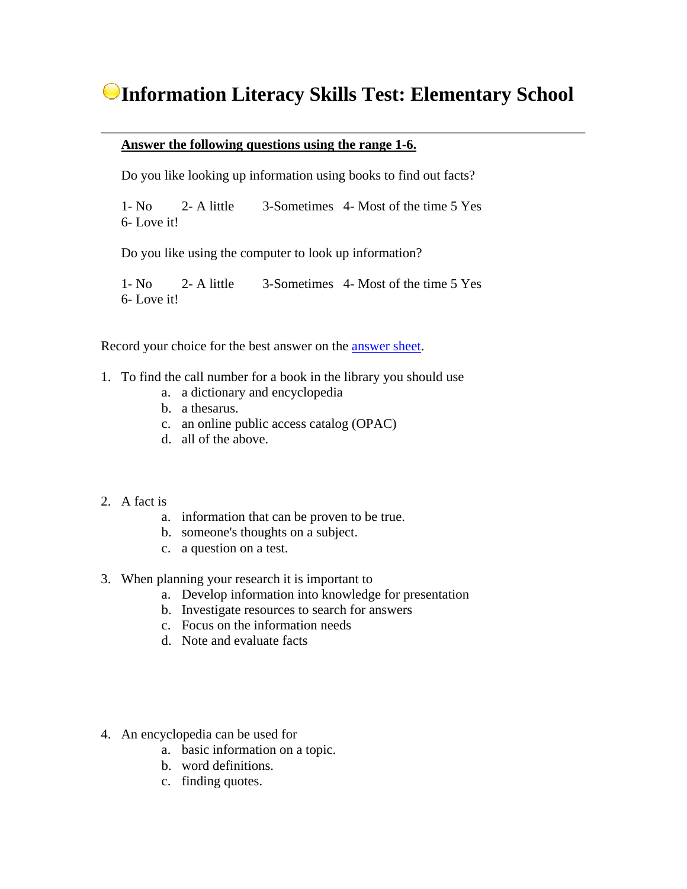## **Information Literacy Skills Test: Elementary School**

## **Answer the following questions using the range 1-6.**

Do you like looking up information using books to find out facts?

1- No 2- A little 3-Sometimes 4- Most of the time 5 Yes 6- Love it!

Do you like using the computer to look up information?

1- No 2- A little 3-Sometimes 4- Most of the time 5 Yes 6- Love it!

Record your choice for the best answer on the answer sheet.

- 1. To find the call number for a book in the library you should use
	- a. a dictionary and encyclopedia
	- b. a thesarus.
	- c. an online public access catalog (OPAC)
	- d. all of the above.
- 2. A fact is
	- a. information that can be proven to be true.
	- b. someone's thoughts on a subject.
	- c. a question on a test.
- 3. When planning your research it is important to
	- a. Develop information into knowledge for presentation
	- b. Investigate resources to search for answers
	- c. Focus on the information needs
	- d. Note and evaluate facts
- 4. An encyclopedia can be used for
	- a. basic information on a topic.
	- b. word definitions.
	- c. finding quotes.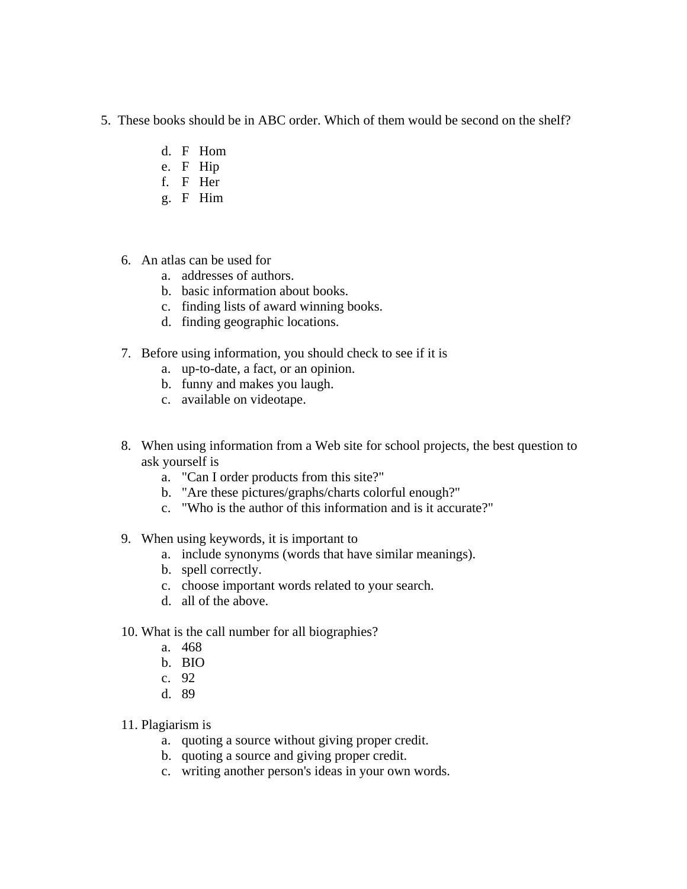- 5. These books should be in ABC order. Which of them would be second on the shelf?
	- d. F Hom
	- e. F Hip
	- f. F Her
	- g. F Him
	- 6. An atlas can be used for
		- a. addresses of authors.
		- b. basic information about books.
		- c. finding lists of award winning books.
		- d. finding geographic locations.
	- 7. Before using information, you should check to see if it is
		- a. up-to-date, a fact, or an opinion.
		- b. funny and makes you laugh.
		- c. available on videotape.
	- 8. When using information from a Web site for school projects, the best question to ask yourself is
		- a. "Can I order products from this site?"
		- b. "Are these pictures/graphs/charts colorful enough?"
		- c. "Who is the author of this information and is it accurate?"
	- 9. When using keywords, it is important to
		- a. include synonyms (words that have similar meanings).
		- b. spell correctly.
		- c. choose important words related to your search.
		- d. all of the above.
	- 10. What is the call number for all biographies?
		- a. 468
		- b. BIO
		- c. 92
		- d. 89
	- 11. Plagiarism is
		- a. quoting a source without giving proper credit.
		- b. quoting a source and giving proper credit.
		- c. writing another person's ideas in your own words.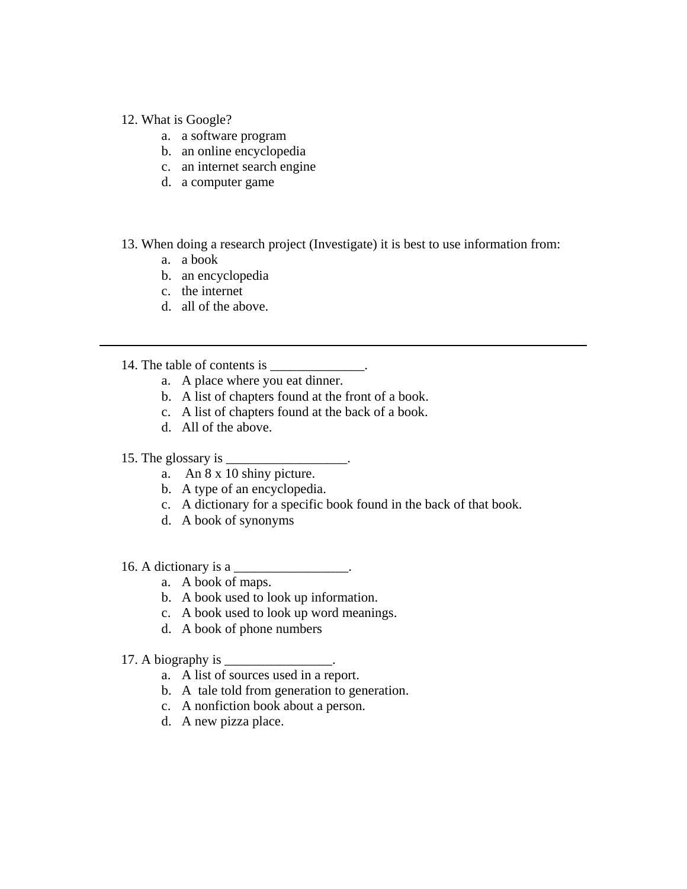## 12. What is Google?

- a. a software program
- b. an online encyclopedia
- c. an internet search engine
- d. a computer game
- 13. When doing a research project (Investigate) it is best to use information from:
	- a. a book
	- b. an encyclopedia
	- c. the internet
	- d. all of the above.
- 14. The table of contents is  $\blacksquare$ 
	- a. A place where you eat dinner.
	- b. A list of chapters found at the front of a book.
	- c. A list of chapters found at the back of a book.
	- d. All of the above.

## 15. The glossary is \_\_\_\_\_\_\_\_\_\_\_\_\_\_\_\_\_\_.

- a. An 8 x 10 shiny picture.
- b. A type of an encyclopedia.
- c. A dictionary for a specific book found in the back of that book.
- d. A book of synonyms
- 16. A dictionary is a \_\_\_\_\_\_\_\_\_\_\_\_\_\_\_\_\_.
	- a. A book of maps.
	- b. A book used to look up information.
	- c. A book used to look up word meanings.
	- d. A book of phone numbers
- 17. A biography is  $\overline{\phantom{a}}$ 
	- a. A list of sources used in a report.
	- b. A tale told from generation to generation.
	- c. A nonfiction book about a person.
	- d. A new pizza place.